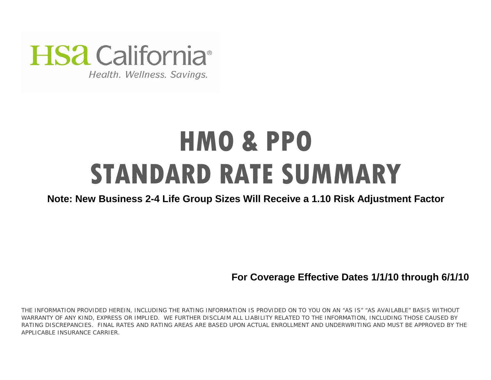

Health. Wellness. Savings.

# **HMO & PPO STANDARD RATE SUMMARY**

# **Note: New Business 2-4 Life Group Sizes Will Receive a 1.10 Risk Adjustment Factor**

**For Coverage Effective Dates 1/1/10 through 6/1/10**

THE INFORMATION PROVIDED HEREIN, INCLUDING THE RATING INFORMATION IS PROVIDED ON TO YOU ON AN "AS IS" "AS AVAILABLE" BASIS WITHOUT WARRANTY OF ANY KIND, EXPRESS OR IMPLIED. WE FURTHER DISCLAIM ALL LIABILITY RELATED TO THE INFORMATION, INCLUDING THOSE CAUSED BY RATING DISCREPANCIES. FINAL RATES AND RATING AREAS ARE BASED UPON ACTUAL ENROLLMENT AND UNDERWRITING AND MUST BE APPROVED BY THE APPLICABLE INSURANCE CARRIER.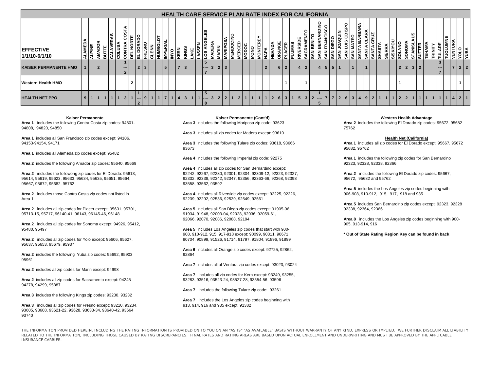|                                    |                 |                           |                |   |                   |     |                                            |        |                    |              |      |           |                 |            |            |                |              |                                            |                    |                |                           |   |             |              |                |                  |                |                |             |   |                 |                | <b>HEALTH CARE SERVICE PLAN RATE INDEX FOR CALIFORNIA</b> |            |                 |                 |               |                      |              |                                |         |                 |              |                    |                   |                        |       |                |        |                                                           |                  |              |  |
|------------------------------------|-----------------|---------------------------|----------------|---|-------------------|-----|--------------------------------------------|--------|--------------------|--------------|------|-----------|-----------------|------------|------------|----------------|--------------|--------------------------------------------|--------------------|----------------|---------------------------|---|-------------|--------------|----------------|------------------|----------------|----------------|-------------|---|-----------------|----------------|-----------------------------------------------------------|------------|-----------------|-----------------|---------------|----------------------|--------------|--------------------------------|---------|-----------------|--------------|--------------------|-------------------|------------------------|-------|----------------|--------|-----------------------------------------------------------|------------------|--------------|--|
| <b>IEFFECTIVE</b><br>1/1/10-6/1/10 | <b>AME</b><br>₹ | 롵<br>$\blacktriangleleft$ | <b>AMADOR</b>  | 긂 | ဖာ<br>⋖<br>≃<br>> |     | ⋖<br>COST<br>ခြိ                           | ٣<br>핑 | ုဒ<br>급            | ⊯            | GLEN | 5<br>HUMB | <b>IMPERI</b>   | <b>OAN</b> | <b>ERN</b> | SONIY<br>AKE   | ASSEN        | ဖာ<br>ш<br>딦                               | ⋖<br><b>VIADER</b> | <b>VIARIN</b>  | <b>OSA</b><br><b>ARIE</b> | Ĕ | <b>AERC</b> | NODOC        | ONO            | <b>HKE</b><br>Ιğ | ⋚              | ÁQA<br>ΝE<br>Σ | CER<br>ORAI | 립 | ě<br>ะ<br>RIVEI | AMENT<br>SACF  | 띪<br><b>SAN</b>                                           | ONIQ<br>្ល |                 | ₹<br><b>SAN</b> | ≧<br>Pun<br>Š | OBISPO<br><b>SAN</b> | डू           | ⋖<br><b>RBAR</b><br><b>SAI</b> | 욵<br>डू | <b>SA</b><br>١Ž | <b>SIERF</b> | 5<br><b>SISKIY</b> | ¥<br><b>SOLAN</b> | <b>NONOS</b>           | TANIS | $\frac{5}{5}$  | 흍<br>틛 | 뿦<br>ğ                                                    | Ś<br><b>VENT</b> | <b>VBILA</b> |  |
| <b>KAISER PERMANENTE HMO</b>       |                 |                           | $\overline{2}$ |   |                   |     | $\hspace{0.05cm} \cdots$<br>$\overline{2}$ |        | $\overline{2}$     | $\mathbf{3}$ |      |           | $5\overline{5}$ |            | T          | 3              |              | $5^{\circ}$<br>$ ----- $<br>$\overline{ }$ | $\overline{3}$     | $\overline{2}$ | $\overline{\mathbf{3}}$   |   |             |              |                |                  | $\overline{2}$ |                | 6 2         |   | 4               | $\overline{2}$ |                                                           |            | $4 \mid 5 \mid$ | 5 <sup>1</sup>  | $\mathbf{1}$  |                      | $\mathbf{1}$ |                                |         |                 |              |                    |                   | $2 \mid 2 \mid 3 \mid$ |       | $\overline{2}$ |        | $3^{\circ}$<br>$\overline{\phantom{a}}$<br>$\overline{7}$ | $\overline{7}$   | 2 2          |  |
| <b>Western Health HMO</b>          |                 |                           |                |   |                   |     |                                            | ◢      |                    |              |      |           |                 |            |            |                |              |                                            |                    |                |                           |   |             |              |                |                  |                |                |             |   |                 |                |                                                           |            |                 |                 |               |                      |              |                                |         |                 |              |                    |                   |                        |       |                |        |                                                           |                  |              |  |
| <b>HEALTH NET PPO</b>              | 9               |                           | $\overline{1}$ |   |                   | 1 1 | 3 <sup>1</sup>                             |        | $- -$<br>$\bullet$ |              |      |           |                 | 114        |            | 3 <sup>1</sup> | $\mathbf{1}$ | $5^{\circ}$<br>$ -----$<br>8               | $\overline{3}$     | $\overline{2}$ |                           |   | 2 1 2       | $\mathbf{1}$ | 1 <sup>1</sup> | 1                | 1 <sup>1</sup> | $\overline{2}$ | 6 3 1 5     |   |                 | $\mathbf{3}$   | $ 2 $ ----                                                |            |                 |                 |               | $7 2 6 3 $           |              | 4 <sup>1</sup>                 |         | 9 2 1 1         |              | $\mathbf{1}$       |                   | $2211$                 |       | $\mathbf{1}$   |        | 1 <sup>1</sup>                                            | 1 <sup>1</sup>   | 421          |  |

#### **Kaiser Permanente**

**Area 1** includes the following Contra Costa zip codes: 94801- 94808, 94820, 94850

**Area 1** includes all San Francisco zip codes except: 94106, 94153-94154, 94171

**Area 1** includes all Alameda zip codes except: 95482

**Area 2** includes the following Amador zip codes: 95640, 95669

**Area 2** includes the followong zip codes for El Dorado: 95613, 95614, 95619, 95623, 95633, 95634, 95635, 95651, 95664, 95667, 95672, 95682, 95762

**Area 2** includes those Contra Costa zip codes not listed in Area 1

**Area 2** includes all zip codes for Placer except: 95631, 95701, 95713-15, 95717, 96140-41, 96143, 96145-46, 96148

**Area 2** includes all zip codes for Sonoma except: 94926, 95412, 95480, 95497

**Area 2** includes all zip codes for Yolo except: 95606, 95627, 95637, 95653, 95679, 95937

**Area 2** includes the following Yuba zip codes: 95692, 95903 95961

**Area 2** includes all zip codes for Marin except: 94998

**Area 2** includes all zip codes for Sacramento except: 94245 94278, 94299, 95887

**Area 3** includes the following Kings zip codes: 93230, 93232

93605, 93608, 93621-22, 93628, 93633-34, 93640-42, 93664 93740**Area 3** includes all zip codes for Fresno except: 93210, 93234, **Area 3** includes the following Mariposa zip code: 93623 **Kaiser Permanente (Cont'd)**

**Area 3** includes all zip codes for Madera except: 93610

93673

**Area 4** includes the following Imperial zip code: 92275

92242, 92267, 92280, 92301, 92304, 92309-12, 92323, 92327, 92332, 92338, 92342, 92347, 92356, 92363-66, 92368, 92398<br>93558, 93562, 93592 **Area 4** includes all zip codes for San Bernardino except:

**Area 4** includes all Riverside zip codes except: 92225, 92226, 92239, 92292, 92536, 92539, 92549, 92561

91934, 91948, 92003-04, 92028, 92036, 92059-61, **Area 5** includes all San Diego zip codes except: 91905-06,

**Area 5** includes Los Angeles zip codes that start with 900- 908, 910-912, 915, 917-918 except: 90099, 90311, 90671 90704, 90899, 91526, 91714, 91797, 91804, 91896, 91899

**Area 6** includes all Orange zip codes except: 92725, 92862, 92864

**Area 7** includes all of Ventura zip codes except: 93023, 93024

**Area 7** includes all zip codes for Kern except: 93249, 93255, 93283, 93516, 93523-24, 93527-28, 93554-56, 93596

**Area 7** includes the following Tulare zip code: 93261

**Area 7** includes the Los Angeles zip codes beginning with

#### **Western Health Advantage**

**Area 2** includes the following El Dorado zip codes: 95672, 95682 75762

**Health Net (California)**

**Area 3** includes the following Tulare zip codes: 93618, 93666 **Area 1 i**ncludes all zip codes for El Dorado except: 95667, 95672 95682, 95762

> **Area 1** includes the following zip codes for San Bernardino 92323, 92328, 92338, 92366

> 95672,95682 and 95762 **Area 2** includes the following El Dorado zip codes: 95667,

906-908, 910-912, 915, 917, 918 and 935 **Area 5** includes the Los Angeles zip codes beginning with

**Area 5** includes San Bernardino zip codes except: 92323, 92328 92338, 92364, 92366

92066, 92070, 92086, 92088, 92194 **Area 8** includes the Los Angeles zip codes beginning with 900- 905, 913-914, 916

**\* Out of State Rating Region Key can be found in back**

THE INFORMATION PROVIDED HEREIN, INCLUDING THE RATING INFORMATION IS PROVIDED ON TO YOU ON AN "AS IS" "AS AVAILABLE" BASIS WITHOUT WARRANTY OF ANY KIND, EXPRESS OR IMPLIED. WE FURTHER DISCLAIM ALL LIABILITY RELATED TO THE INFORMATION, INCLUDING THOSE CAUSED BY RATING DISCREPANCIES. FINAL RATES AND RATING AREAS ARE BASED UPON ACTUAL ENROLLMENT AND UNDERWRITING AND MUST BE APPROVED BY THE APPLICABLE INSURANCE CARRIER.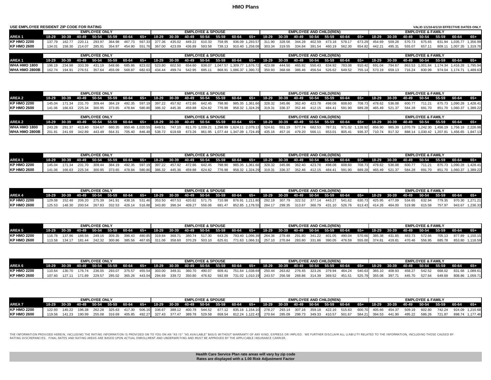| USE EMPLOYEE RESIDENT ZIP CODE FOR RATING |        |                               |        |                             |        |                                                                                        |        |                               |        |                             |                              |                                                                    |                                                                  |                        |        |                      |        |                                     |        |        |               |        |                               |                              | VALID 1/1/10-6/1/10 EFFECTIVE DATES ONLY   |  |
|-------------------------------------------|--------|-------------------------------|--------|-----------------------------|--------|----------------------------------------------------------------------------------------|--------|-------------------------------|--------|-----------------------------|------------------------------|--------------------------------------------------------------------|------------------------------------------------------------------|------------------------|--------|----------------------|--------|-------------------------------------|--------|--------|---------------|--------|-------------------------------|------------------------------|--------------------------------------------|--|
|                                           |        |                               |        | <b>EMPLOYEE ONLY</b>        |        |                                                                                        |        |                               |        |                             | <b>EMPLOYEE &amp; SPOUSE</b> |                                                                    |                                                                  |                        |        |                      |        | <b>EMPLOYEE AND CHILD(REN)</b>      |        |        |               |        |                               | <b>EMPLOYEE &amp; FAMILY</b> |                                            |  |
| <b>AREA1</b>                              |        | 18-29 30-39 40-49 50-54 55-59 |        |                             |        | $60-64$ $65+$                                                                          |        | 18-29 30-39 40-49 50-54 55-59 |        |                             |                              |                                                                    | 60-64                                                            | 65+                    |        |                      |        | 18-29 30-39 40-49 50-54 55-59 60-64 |        | 65+    | 18-29 30-39   |        | 40-49 50-54 55-59             |                              | 60-64 65+                                  |  |
| <b>KP HMO 2200</b>                        | 137.79 | 162.77                        | 220.11 | 293.97                      | 364.98 | 467.73                                                                                 | 567.33 | 377.36                        | 435.02 |                             | 449.22 610.33                | 758.95                                                             |                                                                  | 936.09 1.293.57 311.90 |        | 328.56 344.28 402.59 |        | 473.18 578.17                       |        | 673.29 | 454.69        | 509.28 | 570.73                        | 675.65                       | 831.94 1.035.77 1.356.99                   |  |
| <b>KP HMO 2600</b>                        |        |                               |        |                             |        | 134.01  158.30  214.07  285.91  354.97  454.90  551.76  367.00  423.09  436.89  593.58 |        |                               |        |                             |                              |                                                                    | 738.13 910.40 1,258.08 303.34 319.55 334.84 391.54 460.19 562.30 |                        |        |                      |        |                                     |        | 654.82 | 442.21        | 495.31 | 555.07                        |                              | 657.11 809.11 1.007.35 1.319.76            |  |
|                                           |        |                               |        |                             |        |                                                                                        |        |                               |        |                             |                              |                                                                    |                                                                  |                        |        |                      |        |                                     |        |        |               |        |                               |                              |                                            |  |
|                                           |        |                               |        | <b>EMPLOYEE ONLY</b>        |        |                                                                                        |        |                               |        |                             | <b>EMPLOYEE &amp; SPOUSE</b> |                                                                    |                                                                  |                        |        |                      |        | <b>EMPLOYEE AND CHILD(REN)</b>      |        |        |               |        |                               | <b>EMPLOYEE &amp; FAMILY</b> |                                            |  |
| <b>AREA1</b>                              |        | 18-29 30-39 40-49 50-54 55-59 |        |                             |        | 60-64 65+                                                                              |        |                               |        |                             |                              | 18-29 30-39 40-49 50-54 55-59 60-64                                |                                                                  | 65+                    |        |                      |        | 18-29 30-39 40-49 50-54 55-59 60-64 |        | 65+    |               |        | 18-29 30-39 40-49 50-54 55-59 |                              | $60-64$ $65+$                              |  |
| WHA HMO 1800                              |        | 196.19 234.98                 | 333.39 | 431.19                      | 548.66 | 685.86                                                                                 | 823.02 | 523.80                        | 602.50 |                             |                              | 654.60 838.07 1.047.57 1.309.77 1.676.72 423.08                    |                                                                  |                        | 444.50 | 465.92               | 550.43 | 634.92                              | 783.08 | 910.42 | 691.04        | 794.67 |                               |                              | 863.53 1.001.84 1.174.34 1.416.28 1.795.94 |  |
| <b>WHA HMO 2800B</b>                      |        | 162.74 194.91                 |        | 276.51 357.64 455.09 568.87 |        |                                                                                        | 682.63 |                               |        | 434.44 499.74 542.95 695.11 |                              | 868.91 1,086.37 1,390.72 350.93 368.68 386.46 456.54 526.62 649.52 |                                                                  |                        |        |                      |        |                                     |        |        | 755.14 573.19 |        | 659.13 716.24                 | 830.99                       | 974.04 1.174.71 1.489.63                   |  |

|                    |        |        | <b>EMPLOYEE ONLY</b> |        |                                                                                   |                      |        |        | <b>EMPLOYEE &amp; SPOUSE</b> |        |                                      |  |               | <b>EMPLOYEE AND CHILD(REN)</b> |        |               |               |        |                  | <b>EMPLOYEE &amp; FAMILY</b>                                                  |        |                                 |
|--------------------|--------|--------|----------------------|--------|-----------------------------------------------------------------------------------|----------------------|--------|--------|------------------------------|--------|--------------------------------------|--|---------------|--------------------------------|--------|---------------|---------------|--------|------------------|-------------------------------------------------------------------------------|--------|---------------------------------|
| <b>AREA 2</b>      |        |        |                      |        | 18-29 30-39 40-49 50-54 55-59 60-64 65+ 18-29 30-39 40-49 50-54 55-59 60-64 65+ 1 |                      |        |        |                              |        |                                      |  |               |                                |        |               |               |        |                  | 18-29 30-39 40-49 50-54 55-59 60-64 65+ 18-29 30-39 40-49 50-54 55-59 60-64 5 |        | 65+                             |
| <b>KP HMO 2200</b> |        | 171.34 | 231 70 309 44 384 19 |        | 492.35                                                                            | 597.19 397.22        | 457.92 | 472.86 | 642.45                       | 798.90 | 985.35 1,361.66 328.32 345.86 362.40 |  |               | 423.78 498.08 608.60           |        |               | 708.73 478.62 |        | _ 536.08  600.77 |                                                                               |        | 711.21 875.73 1.090.28 1.428.41 |
| <b>KP HMO 2600</b> | 141 06 | 166.63 | 300.95               | 373.65 | 478.84                                                                            | 580.80 386.32 445.36 |        | 459.88 | 624.82                       | 776.98 | 958.32 1,324.29 319.31               |  | 336.37 352.46 | 412.15 484.41                  | 591.90 | 689.28 465.49 |               | 521.37 | 584.28           | 691.70                                                                        | 851.70 | 1.060.37 1.389.22               |
|                    |        |        |                      |        |                                                                                   |                      |        |        |                              |        |                                      |  |               |                                |        |               |               |        |                  |                                                                               |        |                                 |

|                             |  | <b>EMPLOYEE ONLY</b> |  |  |  | <b>EMPLOYEE &amp; SPOUSE</b> |  |  |  | <b>EMPLOYEE AND CHILD(REN)</b> |  |                                                                                                                                                                 | <b>EMPLOYEE &amp; FAMILY</b> |  |                                                                                                                                                                                                                           |
|-----------------------------|--|----------------------|--|--|--|------------------------------|--|--|--|--------------------------------|--|-----------------------------------------------------------------------------------------------------------------------------------------------------------------|------------------------------|--|---------------------------------------------------------------------------------------------------------------------------------------------------------------------------------------------------------------------------|
| AREA 2                      |  |                      |  |  |  |                              |  |  |  |                                |  | 18-29 30-39 40-49 50-54 55-59 60-64 65+ 18-29 30-39 40-49 50-54 55-59 60-64 65+ 18-29 30-39 40-49 50-54 55-59 60-64 65+ 18-29 30-39 40-49 50-54 55-59 60-64 65+ |                              |  |                                                                                                                                                                                                                           |
| WHA HMO 1800                |  |                      |  |  |  |                              |  |  |  |                                |  |                                                                                                                                                                 |                              |  | 243.28 291.37 413.40 534.67 680.35 850.46 1,020.55 649.51 747.10 811.70 1,039.21 1,298.99 1,624.11 2,079.13 524.61 551.19 577.74 682.53 787.31 971.02 1,128.92 856.90 985.39 1,070.79 1,242.30 1,456.19 1,756.18 2,226.98 |
| <b>WHA HMO 2800B</b> 201.81 |  |                      |  |  |  |                              |  |  |  |                                |  |                                                                                                                                                                 |                              |  | 241.69 342.89 443.49 564.31 705.40 846.48 538.72 619.68 673.26 861.95 1,077.44 1,347.09 1,724.49 435.16 457.16 479.20 566.11 653.01 805.41 936.37 710.74 817.32 888.14 1,030.42 1,207.81 1,456.65 1,847.13                |

|                    |        |         | <b>EMPLOYEE ONLY</b> |               |  |  | <b>EMPLOYEE &amp; SPOUSE</b> |                                                                                                                         |  |  | <b>EMPLOYEE AND CHILD(REN)</b> |  |  |                                           | <b>FMPI OYFF &amp; FAMILY</b> |                                                                                                                                                                                                           |  |
|--------------------|--------|---------|----------------------|---------------|--|--|------------------------------|-------------------------------------------------------------------------------------------------------------------------|--|--|--------------------------------|--|--|-------------------------------------------|-------------------------------|-----------------------------------------------------------------------------------------------------------------------------------------------------------------------------------------------------------|--|
| AREA <sub>3</sub>  |        |         |                      |               |  |  |                              | 18-29 30-39 40-49 50-54 55-59 60-64 65+ 18-29 30-39 40-49 50-54 55-59 60-64 65+ 18-29 30-39 40-49 50-54 55-59 60-64 65+ |  |  |                                |  |  | 18-29 30-39 40-49 50-54 55-59 60-64       |                               |                                                                                                                                                                                                           |  |
| <b>KP HMO 2200</b> |        |         |                      |               |  |  |                              |                                                                                                                         |  |  |                                |  |  |                                           |                               | 145.04 171.34 231.70 309.44 384.19 492.35 597.19 397.22 457.92 472.86 642.45 798.90 985.35 1,361.66 328.32 345.86 362.40 423.78 498.08 608.60 708.73 478.62 536.08 600.77 711.21 875.73 1,090.28 1,428.41 |  |
| <b>KP HMO 2600</b> | 166.63 | -225.34 | 300.95               | 373.65 478.84 |  |  |                              | 580.80 386.32 445.36 459.88 624.82 776.98 958.32 1,324.29 319.31                                                        |  |  | 336.37 352.46 412.15 484.41    |  |  | 591.90 689.28 465.49 521.37 584.28 691.70 |                               | 851.70 1,060.37 1,389.22                                                                                                                                                                                  |  |

|                    |        |        | <b>EMPLOYEE ONLY</b> |        |                      |               |        |        | <b>EMPLOYEE &amp; SPOUSE</b> |        |                        |  |               |        | <b>EMPLOYEE AND CHILD(REN)</b> |               |               |        |                                                                                                                                                       | <b>EMPLOYEE &amp; FAMILY</b> |        |                 |                 |
|--------------------|--------|--------|----------------------|--------|----------------------|---------------|--------|--------|------------------------------|--------|------------------------|--|---------------|--------|--------------------------------|---------------|---------------|--------|-------------------------------------------------------------------------------------------------------------------------------------------------------|------------------------------|--------|-----------------|-----------------|
| <b>AREA4</b>       |        |        |                      |        |                      |               |        |        |                              |        |                        |  |               |        |                                |               |               |        | 18-29 30-39 40-49 50-54 55-59 60-64 65+ 18-29 30-39 40-49 50-54 55-59 60-64 65+ 18-29 30-39 40-49 50-54 55-59 60-64 65+ 18-29 30-39 40-49 50-54 55-59 |                              |        | $60-64$         |                 |
| <b>KP HMO 2200</b> | 129.08 | 152.48 | 206.20 275.39        | 341 91 | 438.16 531.46 353.50 |               | 407.53 | 420.82 | 571.75                       | 710.98 |                        |  |               |        |                                |               | 630.73 425.95 | 477.09 | 534.65                                                                                                                                                | 632.94                       | 779.35 | 970.30 1.271.21 |                 |
| <b>KP HMO 2600</b> | 125.53 |        | 267.83               | 332.53 | 426.14               | 516.88 343.80 | 396.34 | 409.27 | 556.06                       | 691.47 | 852.85 1.178.55 284.17 |  | 299.35 313.67 | 366.79 | 431.10 526.76                  | 613.43 414.26 |               | 464.00 | 519.98                                                                                                                                                | 615.58                       | 757.97 |                 | 943.67 1.236.33 |

|                    |        | <b>EMPLOYEE ONLY</b> |                                                                |  |  | <b>EMPLOYEE &amp; SPOUSE</b> |  |  |  | <b>EMPLOYEE AND CHILD(REN)</b>                                                                                                                                                                          |  |  | <b>EMPLOYEE &amp; FAMILY</b> |                        |  |
|--------------------|--------|----------------------|----------------------------------------------------------------|--|--|------------------------------|--|--|--|---------------------------------------------------------------------------------------------------------------------------------------------------------------------------------------------------------|--|--|------------------------------|------------------------|--|
| <b>AREA 5</b>      |        |                      |                                                                |  |  |                              |  |  |  | 18-29 30-39 40-49 50-54 55-59 60-64 65+ 18-29 30-39 40-49 50-54 55-59 60-64 65+ 18-29 30-39 40-49 50-54 55-59 60-64 65+ 18-29 30-39 40-49 50-54 55-59 60-64 65+                                         |  |  |                              |                        |  |
| <b>KP HMO 2200</b> |        |                      |                                                                |  |  |                              |  |  |  | 116.78 137.96 186.56 249.16 309.35 396.43 480.85 319.84 368.71 380.74 517.30 643.26 793.40 1,096.39 264.36 278.48 291.80 341.22 401.05 490.04 570.66 385.38 431.65 483.73 572.66 705.13 877.89 1,150.15 |  |  |                              |                        |  |
| <b>KP HMO 2600</b> | 134.17 |                      | 181.44 242.32 300.86 385.56 467.65 311.06 358.60 370.29 503.10 |  |  |                              |  |  |  | 625.61 771.63 1,066.31 257.10 270.84 283.80 331.86 390.05 476.59 555.00 374.81 419.81 470.46 556.95                                                                                                     |  |  |                              | 685.78 853.80 1.118.59 |  |

|                    |        |               | <b>EMPLOYEE ONLY</b> |               |                                |               |               |        | <b>EMPLOYEE &amp; SPOUSE</b> |                                         |  |               |        | <b>EMPLOYEE AND CHILD(REN)</b> |                                                         |               |        |                                                                               | <b>EMPLOYEE &amp; FAMILY</b> |        |                 |          |
|--------------------|--------|---------------|----------------------|---------------|--------------------------------|---------------|---------------|--------|------------------------------|-----------------------------------------|--|---------------|--------|--------------------------------|---------------------------------------------------------|---------------|--------|-------------------------------------------------------------------------------|------------------------------|--------|-----------------|----------|
| AREA 6             |        | $18-29$ 30-39 |                      |               | $-40-49$ 50-54 55-59 60-64 65+ |               |               |        |                              | 18-29 30-39 40-49 50-54 55-59 60-64 65+ |  |               |        |                                |                                                         |               |        | 18-29 30-39 40-49 50-54 55-59 60-64 65+ 18-29 30-39 40-49 50-54 55-59 60-64 4 |                              |        |                 |          |
| <b>KP HMO 2200</b> | 110.64 | 130.70        | 176.74 236.05        | 293.07 375.57 |                                | 455.54 303.00 | 349.31        | 360.70 | 490.07                       | 609.41 751.64 1,038.69 250.44           |  |               |        |                                | 263.82 276.45 323.26 379.94 464.24 540.63 365.10 408.93 |               |        | 458.27                                                                        | 542.52                       | 668.02 | 831.68 1.089.61 |          |
| <b>KP HMO 2600</b> | 107.60 | 127 11        | 229.57               | 285.02        | 365.26                         | 443.04 294.69 | 339.72 350.80 |        | 476.62                       | 592.69 731.02 1,010.19 243.57           |  | 256.58 268.86 | 314.39 | 369.52 451.51                  |                                                         | 525.79 355.08 | 397.71 | 445.70                                                                        | 527.64                       | 649.69 | 808.86          | 1.059.71 |

|                    |        |               | <b>EMPLOYEE ONLY</b> |        |        |                      |  | <b>EMPLOYEE &amp; SPOUSE</b> |  |  |  | <b>EMPLOYEE AND CHILD(REN)</b>                            |        |               |        |                                                                                                                                                       | <b>EMPLOYEE &amp; FAMILY</b> |        |                 |                 |
|--------------------|--------|---------------|----------------------|--------|--------|----------------------|--|------------------------------|--|--|--|-----------------------------------------------------------|--------|---------------|--------|-------------------------------------------------------------------------------------------------------------------------------------------------------|------------------------------|--------|-----------------|-----------------|
| <b>AREA7</b>       |        |               |                      |        |        |                      |  |                              |  |  |  |                                                           |        |               |        | 18-29 30-39 40-49 50-54 55-59 60-64 65+ 18-29 30-39 40-49 50-54 55-59 60-64 65+ 18-29 30-39 40-49 50-54 55-59 60-64 65+ 18-29 30-39 40-49 50-54 55-59 |                              |        | 60-64 65+       |                 |
| <b>KP HMO 2200</b> | 122.93 | 145 22 196 38 | 262.28               |        |        |                      |  |                              |  |  |  |                                                           |        |               |        | 325.63 417.30 506.16 336.67 388.12 400.78 544.52 677.12 835.16 1.154.10 278.27 293.14 307.16 359.18 422.16 515.83 600.70 405.66 454.37 509.19         | 602.80                       | 742.24 | 924.09 1.210.68 |                 |
| <b>KP HMO 2600</b> |        | 190.99        | 255.08               | 316.69 | 405.85 | 492.27 327.43 377.47 |  | 389.78 529.58                |  |  |  | 658.54 812.24 1,122.43 270.64 285.09 298.73 349.33 410.57 | 501.67 | 584.21 394.53 | 441.90 | 495.22                                                                                                                                                | 586.26                       | 721.87 |                 | 898.74 1.177.46 |

THE INFORMATION PROVIDED HEREIN, INCLUDING THE RATING INFORMATION IS PROVIDED ON TO YOU ON AS IS" AVAILABLY THE VIRTHOT VARRANTY OF ANY KIND, EXPRESS OR IMPLIED. WE FURTHER DISCLAIM ALL LIABILITY RELATED TO THE INFORMATION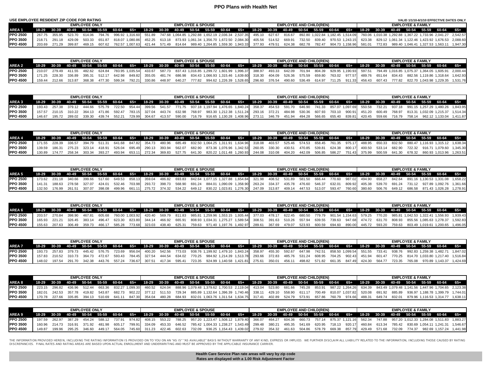#### **PPO Plans with Health Net**

| USE EMPLOYEE RESIDENT ZIP CODE FOR RATING |                                         |        |                      |  |                                             |        |        |                              |  |                                                                               |  |                                |  |  |  |                              | VALID 1/1/10-6/1/10 EFFECTIVE DATES ONLY                                                                                                                                                                                        |  |
|-------------------------------------------|-----------------------------------------|--------|----------------------|--|---------------------------------------------|--------|--------|------------------------------|--|-------------------------------------------------------------------------------|--|--------------------------------|--|--|--|------------------------------|---------------------------------------------------------------------------------------------------------------------------------------------------------------------------------------------------------------------------------|--|
|                                           |                                         |        | <b>EMPLOYEE ONLY</b> |  |                                             |        |        | <b>EMPLOYEE &amp; SPOUSE</b> |  |                                                                               |  | <b>EMPLOYEE AND CHILD(REN)</b> |  |  |  | <b>EMPLOYEE &amp; FAMILY</b> |                                                                                                                                                                                                                                 |  |
| AREA 1                                    | 18-29 30-39 40-49 50-54 55-59 60-64 65+ |        |                      |  |                                             |        |        |                              |  |                                                                               |  |                                |  |  |  |                              | 18-29 30-39 40-49 50-54 55-59 60-64 65+ 18-29 30-39 40-49 50-54 55-59 60-64 65+ 18-29 30-39 40-49 50-54 55-59 60-64 65+                                                                                                         |  |
| <b>IPPO 2500</b>                          |                                         |        |                      |  |                                             |        |        |                              |  |                                                                               |  |                                |  |  |  |                              | 267.75 355.95 523.70 614.06 794.76 996.92 1.316.60 551.89 747.68 1.064.85 1.292.88 1.652.19 2.036.34 2.537.35 495.10 627.67 816.67 892.80 1.022.84 1.182.45 1.514.09 760.06 1.010.38 1.292.88 1.367.22 1.733.96 2.041.27 2.542. |  |
| <b>IPPO 3500</b>                          | 218.71 291.18                           |        |                      |  | 429.09 503.33 651.87 818.07 1.080.86 452.25 |        |        |                              |  | 613.18 873.93 1.061.34 1.356.70 1.672.50 2.084.30 405.56 514.52 669.91 732.50 |  |                                |  |  |  |                              | 839.40 970.53 1.243.15 623.38 829.12 1.061.34 1.122.46 1.423.92 1.676.53 2.088.60                                                                                                                                               |  |
| <b>IPPO 4500</b>                          | 203.69 271.29                           | 399.87 | 469.15               |  | 607.62 762.57 1.007.63 421.44               | 571.49 | 814.64 |                              |  |                                                                               |  |                                |  |  |  |                              | 989.40 1,264.85 1,559.30 1,943.33 377.93 479.51 624.38 682.78 782.47 904.73 1,158.96 581.01 772.83 989.40 1,046.41 1,327.53 1,563.11 1,947.30 989.40 1,046.41 1,327.53 1,563.11 1,947.30                                        |  |

|                 |                             | <b>FMPI OYFF ONLY</b> |  |  | <b>EMPLOYEE &amp; SPOUSE</b> |  |                                                                                                                                                                 |  |  | <b>EMPLOYEE AND CHILD(REN)</b> |  |  | <b>EMPLOYEE &amp; FAMILY</b> |  |                                                                                                                                                                                                                           |
|-----------------|-----------------------------|-----------------------|--|--|------------------------------|--|-----------------------------------------------------------------------------------------------------------------------------------------------------------------|--|--|--------------------------------|--|--|------------------------------|--|---------------------------------------------------------------------------------------------------------------------------------------------------------------------------------------------------------------------------|
| AREA 2          |                             |                       |  |  |                              |  | 18-29 30-39 40-49 50-54 55-59 60-64 65+ 18-29 30-39 40-49 50-54 55-59 60-64 65+ 18-29 30-39 40-49 50-54 55-59 60-64 65+ 18-29 30-39 40-49 50-54 55-59 60-64 65+ |  |  |                                |  |  |                              |  |                                                                                                                                                                                                                           |
| <b>PPO 2500</b> |                             |                       |  |  |                              |  |                                                                                                                                                                 |  |  |                                |  |  |                              |  | 210.07 279.49 411.55 482.62 624.84 783.95 1,035.54 433.67 587.73 837.43 1,016.85 1,299.72 1,601.99 1,996.37 388.97 493.33 642.09 701.94 804.39 929.95 1,190.93 597.51 794.49 1,016.85 1,075.37 1,364.05 1,605.91 2,000.44 |
| <b>PPO 3500</b> |                             |                       |  |  |                              |  |                                                                                                                                                                 |  |  |                                |  |  |                              |  | 171.25 228.30 336.89 395.31 512.17 642.98 849.82 355.05 481.74 686.98 834.43 1,066.93 1,315.46 1,639.60 318.30 404.09 526.36 575.59 659.80 763.02 977.57 489.76 651.64 834.43 882.56 1,119.86 1,318.64 1,642.93           |
| <b>PPO 4500</b> | 159.44 212.66 313.87 368.38 |                       |  |  |                              |  |                                                                                                                                                                 |  |  |                                |  |  |                              |  | 477.30 599.34 792.21 330.86 448.97 640.27 777.82 994.62 1,226.39 1,528.65 296.60 376.54 490.60 536.49 614.97 711.25 911.33 456.43 607.43 777.82 822.70 1,043.98 1,229.35 1,531.76                                         |

|                 |       |                             | <b>EMPLOYEE ONLY</b> |               |  | <b>EMPLOYEE &amp; SPOUSE</b> |  |                                                                                                                                                                                                                   |  |  | <b>EMPLOYEE AND CHILD(REN)</b> |  |  | <b>EMPLOYEE &amp; FAMILY</b> |  |  |
|-----------------|-------|-----------------------------|----------------------|---------------|--|------------------------------|--|-------------------------------------------------------------------------------------------------------------------------------------------------------------------------------------------------------------------|--|--|--------------------------------|--|--|------------------------------|--|--|
| AREA 3          | 18-29 |                             |                      |               |  |                              |  | 30-39 40-49 50-54 55-59 60-64 65+ 18-29 30-39 40-49 50-54 55-59 60-64 65+ 18-29 30-39 40-49 50-54 55-59 60-64 65+ 18-29 30-39 40-49 50-54 55-59 60-64 65+                                                         |  |  |                                |  |  |                              |  |  |
| <b>PPO 2500</b> |       |                             |                      |               |  |                              |  | 193.43 257.38 379.12 444.66 575.79 722.50 954.44 399.56 541.57 771.75 937.18 1,197.94 1,476.65 1,840.24 358.37 454.53 591.70 646.90 741.33 857.07 1,097.69 550.58 732.21 937.18 991.15 1,257.29 1,480.26 1,843.95 |  |  |                                |  |  |                              |  |  |
| <b>PPO 3500</b> |       | 157.57 210.15 310.22 364.13 |                      |               |  |                              |  | 471.86 592.47 783.15 327.04 443.74 632.98 768.97 983.30 1,212.38 1,511.24 293.16 372.21 484.98 530.36 607.93 703.10 900.91 451.20 600.49 768.97 813.31 1,032.09 1,215.37 1,514.34                                 |  |  |                                |  |  |                              |  |  |
| <b>PPO 4500</b> |       | 146.67 195.72               | 339.30               | 439.74 552.21 |  |                              |  | 729.99 304.67 413.57 590.00 716.79 916.65 1,130.28 1,408.96 273.11 346.79 451.94 494.28 566.65 655.40 839.81 420.45 559.66 716.79 758.14 962.12 1,133.04 1,411.87                                                 |  |  |                                |  |  |                              |  |  |

|                 |               | <b>EMPLOYEE ONLY</b> |        |                                           |        |        |               |          | <b>EMPLOYEE &amp; SPOUSE</b> |  |                                                                                                                                                                       |  | <b>EMPLOYEE AND CHILD(REN)</b> |  |  |  | <b>FMPI OYFF &amp; FAMILY</b> |  |  |
|-----------------|---------------|----------------------|--------|-------------------------------------------|--------|--------|---------------|----------|------------------------------|--|-----------------------------------------------------------------------------------------------------------------------------------------------------------------------|--|--------------------------------|--|--|--|-------------------------------|--|--|
| AREA 4          |               |                      |        | 18-29 30-39 40-49 50-54 55-59 60-64 65+ 4 |        |        |               |          |                              |  | 18-29 30-39 40-49 50-54 55-59 60-64 65+ 18-29 30-39 40-49 50-54 55-59 60-64 65+ 18-29 30-39 40-49 50-54 55-59 60-64 65+`                                              |  |                                |  |  |  |                               |  |  |
| <b>PPO 2500</b> | 171 55 228 39 | 336.57 394.79        |        | 511.31 641.68                             |        |        |               |          |                              |  | 847.82 354.73 480.96 685.49 832.50 1,064.25 1,311.91 1,634.96 318.08 403.57 525.46 574.53 658.45 761.35 975.17 488.95 650.33 832.50 880.47 1,116.93 1,315.12 1,638.34 |  |                                |  |  |  |                               |  |  |
| <b>PPO 3500</b> | 186.31        | 275 23 323 14        | 418.91 | 526.04                                    | 695.49 |        | 290.13 393.94 | . 562.07 |                              |  | 682.90 873.36 1.076.96 1.342.53 260.05 330.30 430.51 470.85 539.81 624.38 800.17 400.50 533.14 682.90 722.32 916.71 1.079.60 1.345.30                                 |  |                                |  |  |  |                               |  |  |
| <b>PPO 4500</b> |               |                      | 393.27 | 493.94                                    | 653.11 | 272.34 |               |          |                              |  | 369.83 527.75 641.30 820.22 1.011.48 1.260.93 244.08 310.08 404.20 442.09 506.85 586.27 751.43 375.99 500.59 641.30 678.32 860.93 1.013.96 1.263.51                   |  |                                |  |  |  |                               |  |  |

|                   |        |                             | <b>EMPLOYEE ONLY</b> |        |        |        |  | <b>EMPLOYEE &amp; SPOUSE</b> |  |  |  | <b>EMPLOYEE AND CHILD(REN)</b> |  |  |  | <b>EMPLOYEE &amp; FAMILY</b> |                                                                                                                                                                                                                 |  |
|-------------------|--------|-----------------------------|----------------------|--------|--------|--------|--|------------------------------|--|--|--|--------------------------------|--|--|--|------------------------------|-----------------------------------------------------------------------------------------------------------------------------------------------------------------------------------------------------------------|--|
| AREA <sub>5</sub> |        |                             |                      |        |        |        |  |                              |  |  |  |                                |  |  |  |                              | 18-29 30-39 40-49 50-54 55-59 60-64 65+ 18-29 30-39 40-49 50-54 55-59 60-64 65+ 18-29 30-39 40-49 50-54 55-59 60-64 65+ 18-29 30-39 40-49 50-54 55-59 60-64 65+ 18-29 30-39 40-49 50-54 55-59 60-64 65+         |  |
| <b>PPO 2500</b>   |        |                             |                      |        |        |        |  |                              |  |  |  |                                |  |  |  |                              | 173.62 231.18 340.66 399.66 517.60 649.53 858.13 359.04 486.82 693.83 842.64 1,077.15 1,327.88 1,654.84 321.98 408.52 531.89 581.50 666.44 770.60 987.02 494.90 658.27 842.64 891.16 1,130.53 1,331.08 1,658.22 |  |
| <b>PPO 3500</b>   |        | 141.31 188.63 278.58 327.07 |                      | 424.01 | 532.46 |        |  |                              |  |  |  |                                |  |  |  |                              | 703.98 293.72 398.73 568.90 691.24 884.01 1,090.09 1,358.90 263.24 334.37 435.78 476.60 546.37 632.01 809.92 405.38 539.70 691.24 731.12 927.89 1,092.76 1,361.66                                               |  |
| <b>IPPO 4500</b>  | 132.50 | 176.99                      | 307.07               | 398.08 | 499.96 | 661.11 |  |                              |  |  |  |                                |  |  |  |                              | 275.72 374.32 534.22 649.12 830.22 1,023.81 1,276.30 247.09 313.87 409.14 447.53 513.07 593.47 760.60 380.60 506.76 649.12 686.58 871.43 1,026.28 1,278.91                                                      |  |

|                  |                                           | <b>EMPLOYEE ONLY</b> |  |  | <b>EMPLOYEE &amp; SPOUSE</b> |  |  |  | <b>EMPLOYEE AND CHILD(REN)</b> |  |  |  | <b>EMPLOYEE &amp; FAMILY</b> |                                                                                                                                                                                           |  |
|------------------|-------------------------------------------|----------------------|--|--|------------------------------|--|--|--|--------------------------------|--|--|--|------------------------------|-------------------------------------------------------------------------------------------------------------------------------------------------------------------------------------------|--|
| AREA 6           |                                           |                      |  |  |                              |  |  |  |                                |  |  |  |                              | 18-29 30-39 40-49 50-54 55-59 60-64 65+ 18-29 30-39 40-49 50-54 55-59 60-64 65+ 18-29 30-39 40-49 50-54 55-59 60-64 65+ 18-29 30-39 40-49 50-54 55-59 60-64 65+                           |  |
| <b>IPPO 2500</b> | 203.57 270.84                             | 398.90 467.81        |  |  |                              |  |  |  |                                |  |  |  |                              | 605.68 760.00 1,003.92 420.40 569.79 811.83 985.81 1,259.96 1,553.15 1,935.44 377.03 478.17 622.45 680.50 779.79 901.54 1,154.63 579.25 770.20 985.81 1,042.53 1,322.41 1,556.93 1,939.43 |  |
| <b>IPPO 3500</b> | 165.93 221.21 326.45 383.14 496.47 623.30 |                      |  |  |                              |  |  |  |                                |  |  |  |                              | 823.80 344.14 466.92 665.91 808.93 1,034.31 1,275.27 1,589.54 308.51 391.63 510.26 557.94 639.55 739.63 947.68 474.72 631.70 808.93 855.56 1,085.63 1,278.37 1,592.83                     |  |
| <b>IPPO 4500</b> | 155.63 207.63 306.49 359.73               |                      |  |  |                              |  |  |  |                                |  |  |  |                              | 466.17 585.28 773.68 323.03 438.40 625.31 759.63 971.40 1,197.76 1,492.97 289.61 367.69 479.07 523.93 600.59 694.60 890.00 445.72 593.20 759.63 803.49 1,019.61 1,200.65 1,496.05         |  |

|                 |                                         | <b>EMPLOYEE ONLY</b> |  |  | <b>EMPLOYEE &amp; SPOUSE</b> |  |  |  |  | <b>EMPLOYEE AND CHILD(REN)</b> |  |  | <b>FMPI OYFF &amp; FAMILY</b> |                                                                                                                                                                                                                   |  |
|-----------------|-----------------------------------------|----------------------|--|--|------------------------------|--|--|--|--|--------------------------------|--|--|-------------------------------|-------------------------------------------------------------------------------------------------------------------------------------------------------------------------------------------------------------------|--|
| AREA 7          | 18-29 30-39 40-49 50-54 55-59 60-64 65+ |                      |  |  |                              |  |  |  |  |                                |  |  |                               | 18-29 30-39 40-49 50-54 55-59 60-64 65+ 18-29 30-39 40-49 50-54 55-59 60-64 65+ 18-29 30-39 40-49 50-54 55-59 60-64 65+                                                                                           |  |
| <b>PPO 2500</b> |                                         |                      |  |  |                              |  |  |  |  |                                |  |  |                               | 193.73 257.83 379.73 445.42 576.75 723.69 956.04 400.20 542.56 773.03 938.76 1,199.92 1,479.10 1,843.24 358.97 455.30 592.67 647.98 742.51 858.50 1,099.54 551.55 733.41 938.76 992.83 1,259.38 1,482.71 1,847.02 |  |
| <b>PPO 3500</b> |                                         |                      |  |  |                              |  |  |  |  |                                |  |  |                               | 157.83 210.52 310.73 364.73 472.67 593.43 784.45 327.54 444.54 634.02 770.25 984.92 1.214.39 1.513.78 293.66 372.83 485.76 531.24 608.95 704.25 902.43 451.94 601.47 770.25 814.70 1.033.80 1.217.40 1.516.84     |  |
| <b>PPO 4500</b> |                                         |                      |  |  |                              |  |  |  |  |                                |  |  |                               | 148.02 197.54 291.70 342.38 443.76 557.24 736.67 307.51 417.34 595.41 723.35 924.99 1.140.58 1.421.81 275.61 350.01 456.11 498.82 571.82 661.35 847.49 424.30 564.77 723.35 765.08 970.89 1.143.37 1.424.69       |  |

|                 |  | <b>EMPLOYEE ONLY</b> |  |  | <b>EMPLOYEE &amp; SPOUSE</b> |  |                                                                                                                                                                                                                           |  |  | <b>EMPLOYEE AND CHILD(REN)</b> |  |  |  | <b>EMPLOYEE &amp; FAMILY</b> |  |                                                                             |
|-----------------|--|----------------------|--|--|------------------------------|--|---------------------------------------------------------------------------------------------------------------------------------------------------------------------------------------------------------------------------|--|--|--------------------------------|--|--|--|------------------------------|--|-----------------------------------------------------------------------------|
| AREA 8          |  |                      |  |  |                              |  | 18-29 30-39 40-49 50-54 55-59 60-64 65+ 18-29 30-39 40-49 50-54 55-59 60-64 65+ 18-29 30-39 40-49 50-54 55-59 60-64 65+ 18-29 30-39 40-49 50-54 55-59 60-64 65+                                                           |  |  |                                |  |  |  |                              |  |                                                                             |
| <b>PPO 2500</b> |  |                      |  |  |                              |  | 223.15 296.82 436.96 512.44 663.36 832.27 1,099.30 460.52 624.04 888.96 1,079.48 1,379.62 1,700.53 2,119.04 413.04 523.80 681.66 745.28 853.91 987.22 1,264.26 634.39 843.49 1,079.48 1,141.56 1,447.96 1,704.65 2,123.38 |  |  |                                |  |  |  |                              |  |                                                                             |
| <b>PPO 3500</b> |  |                      |  |  |                              |  | 182.01 242.53 357.78 419.82 543.87 682.73 902.22 377.12 511.53 729.34 885.89 1,132.64 1,396.39 1,740.46 338.11 429.10 558.90 611.17 700.49 810.07 1,037.82 520.08 691.92 885.89 936.97 1,188.78 1,399.79 1,744.01         |  |  |                                |  |  |  |                              |  |                                                                             |
| <b>PPO 4500</b> |  |                      |  |  |                              |  | 170.78 227.66 335.85 394.13 510.69 641.11 847.30 354.04 480.28 684.93 832.01 1,063.76 1,311.54 1,634.75 317.41 402.89 524.79 573.91                                                                                       |  |  |                                |  |  |  |                              |  | 657.86 760.79 974.66 488.31 649.74 832.01 879.96 1.116.53 1.314.77 1.638.11 |

|                 |  | <b>EMPLOYEE ONLY</b> |  |  | <b>EMPLOYEE &amp; SPOUSE</b> |  |                                                                                                                                                                                                                     |  |  | <b>EMPLOYEE AND CHILD(REN)</b> |  |  |  | <b>EMPLOYEE &amp; FAMILY</b> |  |  |
|-----------------|--|----------------------|--|--|------------------------------|--|---------------------------------------------------------------------------------------------------------------------------------------------------------------------------------------------------------------------|--|--|--------------------------------|--|--|--|------------------------------|--|--|
| AREA 9          |  |                      |  |  |                              |  | 18-29 30-39 40-49 50-54 55-59 60-64 65+ 18-29 30-39 40-49 50-54 55-59 60-64 65+ 18-29 30-39 40-49 50-54 55-59 60-64 65+ 18-29 30-39 40-49 50-54 55-59 60-64 65+                                                     |  |  |                                |  |  |  |                              |  |  |
| <b>PPO 2500</b> |  |                      |  |  |                              |  | 197.59 262.97 387.29 454.24 588.12 737.91 974.82 408.15 553.22 788.25 957.20 1,223.47 1,508.12 1,879.40 366.07 464.27 604.36 660.73 757.14 875.37 1,121.16 562.34 747.88 957.20 1,012.33 1,284.08 1,511.83 1,883.27 |  |  |                                |  |  |  |                              |  |  |
| <b>PPO 3500</b> |  |                      |  |  |                              |  | 160.96 214.73 316.91 371.92 481.98 605.17 799.91 334.09 453.33 646.52 785.42 1,004.33 1,238.27 1,543.49 299.48 380.21 495.35 541.69 620.95 718.13 920.17 460.84 613.34 785.42 830.69 1,054.11 1,241.31 1,546.67     |  |  |                                |  |  |  |                              |  |  |
| <b>PPO 4500</b> |  |                      |  |  |                              |  | 149.87 199.96 295.25 346.60 449.17 564.05 745.60 311.23 422.46 602.63 732.09 936.25 1,154.43 1,439.02 279.02 354.32 461.63 504.86 578.79 669.38 857.79 429.49 571.68 732.09 774.37 982.69 1,157.24 1,441.98         |  |  |                                |  |  |  |                              |  |  |

THE INFORMATION PROVIDED HEREIN, INCLUDING THE RATION IMPONATION IS PROVIDED ON TO YOU ON A MY AS 1S" AS AVAILABLE " ASSIS WITHOUT WARRANTY OF AN' KIND, EXPRESS OR IMPLIED. WE FURTHER DISCLAIM ALL LIABILITY RELATED TO THE

| Health Care Service Plan rate areas will vary by zip code |  |
|-----------------------------------------------------------|--|
| Rates are displayed with a 1.00 Risk Adjustment Factor    |  |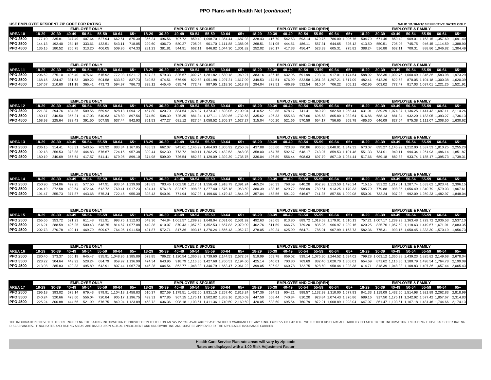#### **PPO Plans with Health Net (***continued* **)**

| USE EMPLOYEE RESIDENT ZIP CODE FOR RATING |         |               |        |                      |        |                                                                                                                   |        |        |               |        |                              |  |                                                 |               |                      |        |                                |        |               |        |        |        |                              |                                         | VALID 1/1/10-6/1/10 EFFECTIVE DATES ONLY                                      |
|-------------------------------------------|---------|---------------|--------|----------------------|--------|-------------------------------------------------------------------------------------------------------------------|--------|--------|---------------|--------|------------------------------|--|-------------------------------------------------|---------------|----------------------|--------|--------------------------------|--------|---------------|--------|--------|--------|------------------------------|-----------------------------------------|-------------------------------------------------------------------------------|
|                                           |         |               |        | <b>EMPLOYEE ONLY</b> |        |                                                                                                                   |        |        |               |        | <b>EMPLOYEE &amp; SPOUSE</b> |  |                                                 |               |                      |        | <b>EMPLOYEE AND CHILD(REN)</b> |        |               |        |        |        | <b>EMPLOYEE &amp; FAMILY</b> |                                         |                                                                               |
| AREA 10                                   | $18-29$ |               |        |                      |        | 30-39 40-49 50-54 55-59 60-64 65+ 18-29 30-39 40-49 50-54 55-59 60-64 65+ 18-29 30-39 40-49 50-54 55-59 60-64 65+ |        |        |               |        |                              |  |                                                 |               |                      |        |                                |        |               |        |        |        |                              | 18-29 30-39 40-49 50-54 55-59 60-64 65+ |                                                                               |
| <b>PPO 2500</b>                           | 177 10  | 235.81        |        | 407.64               | 527.94 | 662.51                                                                                                            | 875.30 | 366.24 | 496.56        | 707.72 |                              |  | 859.49 1,098.70 1,354.44 1,687.93 328.43 416.70 |               | 542.53               | 593.14 |                                |        |               |        |        |        |                              |                                         | 679.75 786.00 1,006.75 504.79 671.46 859.49 909.01 1,153.15 1,357.69 1,691.40 |
| <b>PPO 3500</b>                           |         | 144.13 192.40 | 284.15 | 333.61               | 432.51 | 543.11                                                                                                            | 718.05 | 299.60 | 406.70 580.27 |        | 705.08                       |  | 901.70 1.111.88 1.386.06                        |               | 268.51 341.05 444.51 | 486.11 | 557.31                         | 644.65 | 826.12 413.50 |        | 550.51 | 705.08 |                              |                                         | 745.75 946.45 1.114.59 1.388.90                                               |
| <b>IPPO 4500</b>                          |         | 180.52        |        | 313.20               | 406.05 | 509.96                                                                                                            | 674.33 | 281.23 | 381.81        | 544.91 | 662.11                       |  | 846.82 1.044.30 1.301.82                        | 252.02 320.17 | 417.33               | 456.47 | 523.33                         | 605.31 | 77582         | 388.24 | 516.88 | 662.11 | 700.31                       | 888.86 1.046.82                         | 1.304.49                                                                      |

|                 |                                                                                                                                                                 | <b>EMPLOYEE ONLY</b> |  |  | <b>EMPLOYEE &amp; SPOUSE</b> |  |  |  |  | <b>EMPLOYEE AND CHILD(REN)</b> |  |  | <b>EMPLOYEE &amp; FAMILY</b> |  |                                                                                                                                                                                                                           |
|-----------------|-----------------------------------------------------------------------------------------------------------------------------------------------------------------|----------------------|--|--|------------------------------|--|--|--|--|--------------------------------|--|--|------------------------------|--|---------------------------------------------------------------------------------------------------------------------------------------------------------------------------------------------------------------------------|
| AREA 11         | 18-29 30-39 40-49 50-54 55-59 60-64 65+ 18-29 30-39 40-49 50-54 55-59 60-64 65+ 18-29 30-39 40-49 50-54 55-59 60-64 65+ 18-29 30-39 40-49 50-54 55-59 60-64 65+ |                      |  |  |                              |  |  |  |  |                                |  |  |                              |  |                                                                                                                                                                                                                           |
| <b>PPO 2500</b> |                                                                                                                                                                 |                      |  |  |                              |  |  |  |  |                                |  |  |                              |  | 206.62 275.10 405.40 475.61 615.92 772.93 1,021.17 427.27 579.33 825.67 1,002.75 1,281.82 1,580.18 1,969.27 383.16 486.15 632.95 691.99 793.04 917.01 1,174.54 588.92 783.36 1,002.75 1,060.49 1,345.35 1,583.98 1,973.29 |
| <b>PPO 3500</b> |                                                                                                                                                                 |                      |  |  |                              |  |  |  |  |                                |  |  |                              |  | 168.15 224.47 331.53 389.22 504.58 633.62 837.73 349.53 474.51 676.99 822.58 1.051.98 1.297.21 1.617.09 349.53 474.51 676.99 822.58 1.051.98 1.297.21 1.617.09 482.41 642.26 822.58 870.05 1.104.18 1.300.38 1.620.39     |
| <b>PPO 4500</b> | 157.67 210.60 311.18 365.41                                                                                                                                     |                      |  |  |                              |  |  |  |  |                                |  |  |                              |  | 473.73 594.97 786.73 328.12 445.46 635.74 772.47 987.95 1,218.36 1,518.78 294.04 373.51 486.89 532.54 610.54 706.22 905.11 452.95 603.02 772.47 817.03 1,037.01 1,221.25 1,521.91                                         |

|                 |                             | <b>EMPLOYEE ONLY</b> |  |  | <b>EMPLOYEE &amp; SPOUSE</b> |  |                                                                                                                                                                 |  |  | <b>EMPLOYEE AND CHILD(REN)</b> |  |  | <b>EMPLOYEE &amp; FAMILY</b> |  |                                                                                                                                                                                                                           |
|-----------------|-----------------------------|----------------------|--|--|------------------------------|--|-----------------------------------------------------------------------------------------------------------------------------------------------------------------|--|--|--------------------------------|--|--|------------------------------|--|---------------------------------------------------------------------------------------------------------------------------------------------------------------------------------------------------------------------------|
| AREA 12         |                             |                      |  |  |                              |  | 18-29 30-39 40-49 50-54 55-59 60-64 65+ 18-29 30-39 40-49 50-54 55-59 60-64 65+ 18-29 30-39 40-49 50-54 55-59 60-64 65+ 18-29 30-39 40-49 50-54 55-59 60-64 65+ |  |  |                                |  |  |                              |  |                                                                                                                                                                                                                           |
| <b>PPO 2500</b> |                             |                      |  |  |                              |  |                                                                                                                                                                 |  |  |                                |  |  |                              |  | 221.37 294.76 434.36 509.56 659.92 828.13 1,094.12 457.80 620.70 884.64 1,074.37 1,373.37 1,693.05 2,109.94 410.52 520.88 678.17 741.41 849.70 982.50 1,258.44 631.01 839.29 1,074.37 1,136.25 1,441.43 1,697.11 2,114.26 |
| <b>PPO 3500</b> |                             |                      |  |  |                              |  |                                                                                                                                                                 |  |  |                                |  |  |                              |  | 180.17 240.50 355.21 417.03 540.63 678.89 897.56 374.50 508.39 725.35 881.34 1,127.11 1,389.86 1,732.58 335.62 426.33 555.63 607.66 696.63 805.80 1,032.64 516.86 688.13 881.34 932.20 1,183.05 1,393.27 1,736.13         |
| <b>PPO 4500</b> | 168.93 225.64 333.43 391.50 |                      |  |  |                              |  |                                                                                                                                                                 |  |  |                                |  |  |                              |  | 507.55 637.44 842.93 351.53 477.27 681.12 827.64 1,058.52 1,305.37 1,627.27 315.04 400.20 521.66 570.59 654.17 756.65 969.78 485.30 646.09 827.64 875.38 1,111.07 1,308.50 1,630.62                                       |

|                  |               | <b>EMPLOYEE ONLY</b> |        |  | <b>EMPLOYEE &amp; SPOUSE</b> |  |                                                                                                                                                                                                         |  | <b>EMPLOYEE AND CHILD(REN)</b> |  |  |  | <b>EMPLOYEE &amp; FAMILY</b> |  |                                                                                                                                                                                                                   |
|------------------|---------------|----------------------|--------|--|------------------------------|--|---------------------------------------------------------------------------------------------------------------------------------------------------------------------------------------------------------|--|--------------------------------|--|--|--|------------------------------|--|-------------------------------------------------------------------------------------------------------------------------------------------------------------------------------------------------------------------|
| AREA 13          |               |                      |        |  |                              |  | 18-29 30-39 40-49 50-54 55-59 60-64 65+ 18-29 30-39 40-49 50-54 55-59 60-64 65+ 18-29 30-39 40-49 50-54 55-59 60-64 65+ 18-29 30-39 40-49 50-54 55-59 60-64 65+ 18-29 30-39 40-49 50-54 55-59 60-64 65+ |  |                                |  |  |  |                              |  |                                                                                                                                                                                                                   |
| <b>PPO 2500</b>  | 236.15 314.41 |                      |        |  |                              |  |                                                                                                                                                                                                         |  |                                |  |  |  |                              |  | 463.31 543.55 703.92 883.34 1,167.05 488.31 662.07 943.61 1,145.99 1,464.93 1,805.92 2,250.59 437.88 555.60 723.38 790.86 906.36 1,048.01 1,342.32 673.07 895.27 1,145.99 1,212.00 1,537.53 1,810.25 2,255.20     |
| <b>PPO 3500</b>  |               |                      |        |  |                              |  |                                                                                                                                                                                                         |  |                                |  |  |  |                              |  | 192.18 256.53 378.88 444.83 576.67 724.15 957.38 399.44 542.30 773.72 940.11 1,202.25 1,482.53 1,848.08 358.00 454.75 592.67 648.17 743.07 859.53 1,101.48 551.33 734.01 940.11 994.34 1,261.93 1,486.14 1,851.87 |
| <b>IPPO 4500</b> | 180.19 240.69 | 355.64 417.57 541.41 | 679.95 |  |                              |  |                                                                                                                                                                                                         |  |                                |  |  |  |                              |  | 899.10 374.98 509.09 726.54 882.83 1,129.09 1,392.39 1,735.75 336.04 426.89 556.44 608.63 697.79 807.10 1,034.44 517.66 689.18 882.83 933.74 1,185.17 1,395.73 1,739.31                                           |

|                 |                      | <b>EMPLOYEE ONLY</b> |  |                      |  | <b>EMPLOYEE &amp; SPOUSE</b>                                                                                                                                    |  |  |  | <b>EMPLOYEE AND CHILD(REN)</b> |  |  |  | <b>EMPLOYEE &amp; FAMILY</b> |  |                                                                                                                                                                                                                               |
|-----------------|----------------------|----------------------|--|----------------------|--|-----------------------------------------------------------------------------------------------------------------------------------------------------------------|--|--|--|--------------------------------|--|--|--|------------------------------|--|-------------------------------------------------------------------------------------------------------------------------------------------------------------------------------------------------------------------------------|
| AREA 14         |                      |                      |  |                      |  | 18-29 30-39 40-49 50-54 55-59 60-64 65+ 18-29 30-39 40-49 50-54 55-59 60-64 65+ 18-29 30-39 40-49 50-54 55-59 60-64 65+ 18-29 30-39 40-49 50-54 55-59 60-64 65+ |  |  |  |                                |  |  |  |                              |  |                                                                                                                                                                                                                               |
| <b>PPO 2500</b> |                      |                      |  |                      |  |                                                                                                                                                                 |  |  |  |                                |  |  |  |                              |  | 250.90 334.06 492.25 577.50 747.91 938.54 1.239.99 518.83 703.46 1,002.58 1,217.61 1,556.49 1,918.79 2,391.24 465.24 590.33 768.59 840.28 962.98 1,113.50 1,426.24 715.15 951.22 1,217.61 1,287.74 1,633.62 1,923.41 2,396.15 |
| <b>PPO 3500</b> | 204.19 272.58        | 402.54 472.64        |  |                      |  |                                                                                                                                                                 |  |  |  |                                |  |  |  |                              |  | 612.72 769.41 1,017.23 424.41 576.18 822.07 998.85 1,277.40 1,575.18 1,963.59 380.39 483.16 629.72 688.69 789.51 913.25 1,170.33 585.79 779.88 998.85 1,056.49 1,340.79 1,579.03 1,967.61                                     |
| <b>PPO 4500</b> | 191.47 255.73 377.87 | 443.68               |  | 575.24 722.46 955.30 |  |                                                                                                                                                                 |  |  |  |                                |  |  |  |                              |  | 398.43 540.91 771.94 937.98 1.199.66 1.479.42 1.844.25 357.04 453.56 591.22 646.67 741.37 857.56 1.099.08 550.01 732.24 937.98 992.09 1.259.23 1.482.97 1.848.04                                                              |

|                  |                             | <b>EMPLOYEE ONLY</b> |  |  | <b>EMPLOYEE &amp; SPOUSE</b> |  |                                                                                                                                                                                                                                 |  | <b>EMPLOYEE AND CHILD(REN)</b> |  | <b>EMPLOYEE &amp; FAMILY</b> |  |  |  |  |  |  |
|------------------|-----------------------------|----------------------|--|--|------------------------------|--|---------------------------------------------------------------------------------------------------------------------------------------------------------------------------------------------------------------------------------|--|--------------------------------|--|------------------------------|--|--|--|--|--|--|
| AREA 15          |                             |                      |  |  |                              |  | 18-29 30-39 40-49 50-54 55-59 60-64 65+ 18-29 30-39 40-49 50-54 55-59 60-64 65+ 18-29 30-39 40-49 50-54 55-59 60-64 65+ 18-29 30-39 40-49 50-54 55-59 60-64 65+ 18-29 30-39 40-49 50-54 55-59 60-64 65+ 18-29 30-39 50-54 55-59 |  |                                |  |                              |  |  |  |  |  |  |
| <b>IPPO 2500</b> |                             |                      |  |  |                              |  | 265.66 353.72 521.23 611.48 791.91 993.75 1.312.93 549.36 744.84 1.061.57 1.289.23 1.648.04 2.031.66 2.531.92 492.63 625.05 813.80 889.72 1.019.63 1.179.01 1.510.13 757.21 1.007.17 1.289.23 1.363.48 1.729.72 2.036.53 2.537. |  |                                |  |                              |  |  |  |  |  |  |
| <b>PPO 3500</b>  |                             |                      |  |  |                              |  | 216.21 288.59 426.25 500.43 648.75 814.67 1,077.08 449.38 610.07 870.43 1,057.59 1,352.53 1,667.83 2,079.09 402.76 511.59 666.76 729.20 835.95 966.97 1,239.16 620.25 825.76 1,057.59 1,118.63 1,419.67 1,671.91 2,083.35       |  |                                |  |                              |  |  |  |  |  |  |
| <b>IPPO 4500</b> | 202.73 270.78 400.11 469.79 |                      |  |  |                              |  | 609.07 764.95 1,011.50 421.87 572.71 817.36 993.15 1,270.24 1,566.43 1,952.72 378.05 480.24 625.99 684.71 785.01 907.99 1,163.73 582.36 775.31 993.15 1,050.45 1,333.30 1,570.19 1,956.73 المحابي المحافي المحافي المحافي المحا |  |                                |  |                              |  |  |  |  |  |  |

|                  |               | <b>EMPLOYEE ONLY</b> |  |  | <b>EMPLOYEE &amp; SPOUSE</b> |  |  |  | <b>EMPLOYEE AND CHILD(REN)</b> |  |  | <b>FMPI OYFF &amp; FAMILY</b> |                                                                                                                                                                                                                                 |  |  |  |  |  |
|------------------|---------------|----------------------|--|--|------------------------------|--|--|--|--------------------------------|--|--|-------------------------------|---------------------------------------------------------------------------------------------------------------------------------------------------------------------------------------------------------------------------------|--|--|--|--|--|
| AREA 16          |               |                      |  |  |                              |  |  |  |                                |  |  |                               | 18-29 30-39 40-49 50-54 55-59 60-64 65+ 18-29 30-39 40-49 50-54 55-59 60-64 65+ 18-29 30-39 40-49 50-54 55-59 60-64 65+ 18-29 30-39 40-49 50-54 55-59 60-64 65+                                                                 |  |  |  |  |  |
| <b>PPO 2500</b>  |               |                      |  |  |                              |  |  |  |                                |  |  |                               | 280.40 373.37 550.19 645.47 835.91 1,048.96 1,385.89 579.85 786.22 1,120.54 1,360.88 1,739.60 2,144.53 2,672.57 519.99 659.78 859.02 939.14 1,076.30 1,244.52 1,594.02 799.28 1,063.12 1,360.88 1,439.23 1,825.82 2,149.68 2,67 |  |  |  |  |  |
| <b>PPO 3500</b>  |               |                      |  |  |                              |  |  |  |                                |  |  |                               | 228.22 304.64 449.92 528.24 684.79 859.92 1,136.90 474.34 643.96 918.79 1,116.36 1,427.68 1,760.51 2,194.60 425.14 540.01 703.80 769.69 882.40 1,020.70 1,308.01 654.69 871.62 1,116.36 1,180.79 1,498.54 1,764.78 2,199.09     |  |  |  |  |  |
| <b>IPPO 4500</b> | 213.98 285.83 |                      |  |  |                              |  |  |  |                                |  |  |                               | 422.33 495.89 642.91 807.44 1,067.70 445.28 604.54 862.77 1,048.33 1,340.79 1,653.47 2,061.22 399.05 506.92 660.78 722.75 828.60 958.44 1,228.38 614.71 818.39 1,048.33 1,108.83 1,407.36 1,657.44 2,065.43                     |  |  |  |  |  |

|                  | <b>EMPLOYEE ONLY</b> |               |                             |        |  |  |  |                               | <b>EMPLOYEE &amp; SPOUSE</b> |  |  |  |  |                                                                                                                                                                                                                                 |  |  | <b>EMPLOYEE AND CHILD(REN)</b> |  |  |  |  |  |  |  | <b>EMPLOYEE &amp; FAMILY</b> |  |  |  |  |  |  |
|------------------|----------------------|---------------|-----------------------------|--------|--|--|--|-------------------------------|------------------------------|--|--|--|--|---------------------------------------------------------------------------------------------------------------------------------------------------------------------------------------------------------------------------------|--|--|--------------------------------|--|--|--|--|--|--|--|------------------------------|--|--|--|--|--|--|
| AREA 17          |                      |               |                             |        |  |  |  |                               |                              |  |  |  |  | 18-29 30-39 40-49 50-54 55-59 60-64 65+ 18-29 30-39 40-49 50-54 55-59 60-64 65+ 18-29 30-39 40-49 50-54 55-59 60-64 65+ 18-29 30-39 40-49 50-54 55-59 60-64 65+                                                                 |  |  |                                |  |  |  |  |  |  |  |                              |  |  |  |  |  |  |
| <b>IPPO 2500</b> |                      |               |                             |        |  |  |  |                               |                              |  |  |  |  | 295.18 393.02 579.14 679.43 879.91 1,104.18 1,458.83 610.37 827.59 1,179.51 1,432.50 1,831.15 2,257.40 2,813.24 547.36 694.51 904.21 988.57 1,132.93 1,310.00 1,677.93 841.33 1,119.09 1,432.50 1,514.98 1,921.89 2,262.83 2,81 |  |  |                                |  |  |  |  |  |  |  |                              |  |  |  |  |  |  |
| <b>IPPO 3500</b> |                      | 240.24 320.66 | 473.60                      | 556.04 |  |  |  | 720.84 905.17 1.196.75 499.31 |                              |  |  |  |  | 677.86 677.15 1,175.11 1,502.82 1,853.16 2,310.09 447.50 568.44 740.84 810.20 928.84 1,074.43 1,376.86 689.16 917.50 1,175.11 1,242.92 1,577.42 1,857.67 2,314.83                                                               |  |  |                                |  |  |  |  |  |  |  |                              |  |  |  |  |  |  |
| <b>IPPO 4500</b> |                      |               | 225.24 300.88 444.56 521.99 |        |  |  |  |                               |                              |  |  |  |  | 676.75 849.94 1,123.89 468.72 636.36 908.18 1,103.51 1,411.36 1,740.50 2,169.69 420.05 533.60 695.54 760.79 872.21 1,008.89 1,293.04 647.07 861.47 1,103.51 1,167.18 1,481.46 1,744.66 2,174.13                                 |  |  |                                |  |  |  |  |  |  |  |                              |  |  |  |  |  |  |

THE INFORMATION PROVIDED HEREIN, INCLUDING THE RATION INFORMATION IS PROVIDED ON TO YOU ON A MY "AS IS AVAILABLE" BASIS WITHOUT WARRANTY OF ANY KINGESS OR IMPLIED. WE FURTHER DISCLAIM ALL LIABILITY RELATED TO THE INFORMATI

**Rates are displayed with a 1.00 Risk Adjustment Factor Health Care Service Plan rate areas will vary by zip code**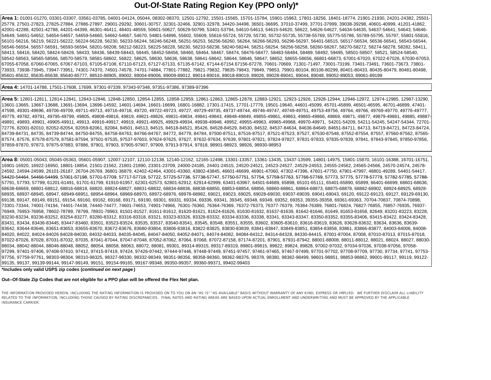## **Out-Of-State Rating Region Key (PPO only)\***

**Area 1:** 01001-01270, 03301-03307, 03561-03785, 04001-04124, 05044, 08302-08370, 12501-12792, 15501-15565, 15701-15784, 15901-15963, 17801-18256, 18401-18774, 21901-21930, 24201-24382, 25501- 25779, 27501-27823, 27825-27884, 27886-27897, 29001-29292, 30601-30757, 32301-32466, 32901-32978, 34420-34498, 36501-36695, 37010-37499, 37701-37999, 39038-39298, 40601-40999, 41201-41862, 42001-42288, 42501-42788, 44201-44399, 46301-46411, 48401-48559, 50601-50627, 50629-50799, 53401-53794, 54610-54613, 54615-54620, 56622, 54626-54627, 54634-54635, 54637-54641, 54643, 54646- 54649, 54651-54652, 54654-54657, 54659-54660, 54662-54667, 54670, 54801-54896, 55602, 55609, 55616-55724, 55729, 55730, 55732-55735, 55738-55769, 55775-55786, 55789-55795, 55797, 55801-55816, 56101-56216, 56219, 56221-56222, 56224-56228, 56230, 56233-56244, 56246-56248, 56251-56253, 56256-56260, 56264, 56266-56293, 56296-56297, 56401-56515, 56517-56534, 56536-56541, 56543-56544, 56546-56554, 56557-56591, 56593-56594, 58201-58208, 58212-58223, 58225-58228, 58230, 58233-58238, 58240-58244, 58251-58254, 58256-58258, 58260-58267, 58270-58272, 58274-58278, 58282, 58411, 58413, 58416, 58420, 58424-58426, 58433, 58436, 58439-58443, 58445, 58452-58456, 58460, 58464, 58467, 58474, 58476-58477, 58483-58484, 58489, 58492, 59495, 58501-58507, 58521, 58524-58540, 58542-58563, 58565-58566, 58570-58579, 58581-58602, 56822, 58625, 58630, 58636, 58638, 58641-58642, 58644, 58646, 58647, 58652, 58655-58656, 66801-66873, 67001-67020, 67022-67026, 67030-67053, 67055-67058, 67060-67065, 67067-67103, 67105-67108, 67110-67123, 67127-67133, 67135-67142, 67144-67154.67156-67278, 70601-70669, 71301-71497, 73001-73199, 73401-73491, 73601-73673, 73801- 73933, 73938-73945, 73947-73951, 74301-74370, 74501-74578, 74701-74884, 77801-77882, 79821-79832, 79835-79843, 79849, 79853, 79901-80104, 80106-80299, 80401-80433, 80435-80479, 80481-80498, 85601-85632, 85635-85638, 85640-85777, 88510-88905, 89002, 89004-89006, 89009-89012, 89014-89016, 89018-89019, 89026, 89028-89041, 89044, 89048, 89052-89053, 89061-89199

#### **Area 4:** 14701-14788, 17501-17608, 17699, 97301-97339, 97343-97348, 97351-97386, 97389-97396

**Area 5:** 12801-12811, 12814-12841, 12843-12846, 12848-12850, 12854-12855, 12858-12859, 12861-12863, 12865-12878, 12883-12921, 12923-12926, 12928-12944, 12946-12972, 12974-12985, 12987-13290, 13601-13665, 13667-13688, 13691-13694, 13696-14592, 14601-14694, 16601-16699, 16801-16882, 17301-17415, 17701-17779, 19501-19640, 44601-45099, 45701-45899, 46501-46595, 46701-46899, 47401- 47598, 49301-49696, 49706-49709, 49711-49713, 49716-49718, 49720, 49722-49723, 49727, 49729-49735, 49737-49744, 49746-49747, 49749-49751, 49753-49756, 49764, 49766, 49769-49770, 49776-49777, 49779, 49782, 49791, 49795-49799, 49805, 49808-49816, 49819, 49821-49826, 49831-49834, 49841-49843, 49848-49849, 49855-49861, 49863, 49865-49866, 49869, 49871, 49877, 49877, 49879-49881, 49885, 49885, 49891, 49893, 49901, 49905-49911, 49913, 49916-49917, 49919, 49921-49925, 49929-49934, 49938-49948, 49952, 49955-49963, 49965-49968, 49970-49971, 54201-54209, 54211-54245, 54247-54344, 72701- 72776, 82001-82010, 82052-82054, 82059-82061, 82084, 84501, 84513, 84515, 84518-84521, 85426, 84528-84529, 84530, 84532, 84537-84634, 84636-84649, 84651-84711, 84713, 84719-84721, 84723-84724, 84739-84731, 84735, 84739-84744, 84750-84755, 84758-84763, 84766-84767, 84772, 84779, 84784, 87500-87511, 87516-87517, 87521-87523, 87527, 87530-87548, 87552-87554, 87557, 87560-87562, 87562-87580, 87562-87554, 87560-87562, 87574, 87576, 87578-87579, 87581-87594, 97501-97535, 97537-97603, 97624-97625, 97627, 97632-97634, 97639, 97801-97821, 97824-97827, 97831-97833, 97835-97839, 97841, 97843-97845, 97850-97856, 97859-97870, 97873, 97875-97883, 97886, 97901, 97903, 97905-97907, 97909, 97913-97914, 97918, 98901-98923, 98926, 98930-98953

**Area 8:** 05001-05043, 05045-05363, 05601-05907, 12007-12107, 12110-12138, 12140-12162, 12165-12498, 13301-13357, 13361-13435, 13437-13599, 14801-14975, 15801-15870, 16101-16388, 16701-16751, 16901-16920, 16922-16950, 18801-18854, 21501-21562, 21801-21890, 23301-23709, 24000-24185, 24401-24515, 24520-24521, 24523-24527, 24529-24553, 24555-24562, 24565-24566, 24570-24574, 24578- 24592, 24594-24599, 26101-26187, 26704-26769, 36801-36879, 42402-42464, 43001-43360, 43802-43845, 46601-46699, 46901-47060, 47302-47396, 47601-47750, 47901-47997, 48801-49289, 54401-54417, 54420-54464, 54466-54499, 57001-57198, 57701-57709, 57717-57719, 57722, 57725-57736, 57738-57747, 57750-57751, 57759-57763, 57766-57769, 57766-57769, 57773, 57778, 57778-57779, 57782-57785, 57788-57791, 57793, 57799, 61201-61491, 61701-61799, 61910-61957, 62301-62573, 62801-62912, 62914-62999, 63401-63967, 64501-64689, 65898, 65101-65111, 65401-65890, 65899, 66401-66699, 68601-66699, 68601-68699, 68601-68699, 68601-68638-68669, 68801-68812, 68816-68818, 68820, 68824-68827, 68831-68832, 68834-68836, 68838-68850, 68853-68854, 68856, 68860-68861, 68864-68873, 68875-68878, 68882-68902, 68924-68925, 68928- 68935, 68937-68945, 68947, 68949-68951, 68954-68964, 68969-68970, 68972-68976, 68978-68982, 69021, 69023, 69025, 69028-69030, 69037-69039, 69041-69043, 69120, 69122-69123, 69127, 69129-69130, 69138, 69147, 69149, 69151, 69154, 69160, 69162, 69168, 69171, 69190, 69301, 69331, 69334, 69336, 69341, 39345, 69348, 69349, 69352, 69353, 39355-39358, 69361-69363, 70704-70837, 70874-70898, 73301-73344, 74001-74194, 74401-74438, 74440-74477, 74601-74653, 74901-74966, 76301-76360, 76364-76369, 76372-76373, 76377-76379, 76384-76389, 76801-76824, 76827-76855, 76857-76935, 76937- 76949, 76953-76958, 78602-78789, 78799, 78931-78963, 81501-81527, 81611-81612, 81620-81621, 81624-81626, 81630-81632, 81637-81639, 81642-81646, 81649, 81653-81658, 82649, 83201-83223, 83228, 83230-83234, 83236-83252, 83254-83277, 83280-83312, 83316-83318, 83321, 83323-83326, 83328-83332, 83334-83336, 83338, 83341, 83343-83347, 83350-83352, 83355-83406, 83415-83422, 83424-83428, 83431, 83434, 83436-83445, 83447-83460, 83501, 83523-83524, 83535, 83537, 83540-83541, 83545, 83548, 83551, 83555, 83602, 83605-83610, 83616-83619, 83626, 83628-83632, 83634, 83636, 83639- 83642, 83644-83646, 83651-83653, 83655-83670, 83672-83676, 83680-83804, 83806-83816, 83822-83825, 83830-83839, 83841-83847, 83849-83851, 83854-83858, 83861, 83866-83877, 84003-84006, 84008- 84020, 84022, 84024-84026 84028-84030, 84032-84033, 84035-84045, 84047-84050, 84052-84071, 84074-84082, 84084-84312, 84314-84328, 84330-84415, 87001-87004, 87008, 87010-87013, 87015-87018, 87022-87026, 87028, 87031-87032, 87035, 87041-87044, 87047-87048, 87052-87062, 87064, 87068, 87072-87158, 87174-87201, 87901, 87931-87942, 88001-88008, 88011-88012, 88021, 88024, 88027, 88030- 88034, 88042-88044, 88046-88048, 88052, 88054, 88058, 88063, 88072, 88081, 89301, 89314-89315, 89317-89319, 89801-89815, 89822, 89824, 89828, 97002-97032, 97034-97036, 97038-97056, 97058- 97299, 97401-97406, 97408-97410, 97412, 97415-97419, 97424, 97426-97442, 97444-97446, 97448-97449, 97451-97457, 97461-97465, 97467-97499, 97701-97702, 97708-97709, 97730, 97734, 97741, 97753- 97756, 97759-97761, 98303-98304, 98310-98325, 98327-98330, 98332-98349, 98351-98356, 98358-98360, 98362-98376, 98378, 98380, 98382-98499, 98601-98851, 98853-98862, 99001-99117, 99119, 99122- 99135, 99137, 99139-99144, 99147-99149, 99151, 99154-99165, 99167-99348, 99350-99357, 99360-99371, 99402-99403

**\*Includes only valid USPS zip codes (***continued on next page* **)**

#### **Out--Of-State Zip Codes that are not eligible for a PPO plan will be offered the Flex Net plan.**

THE INFORMATION PROVIDED HEREIN, INCLUDING THE RATING INFORMATION IS PROVIDED ON TO YOU ON AN "AS IS" "AS AVAILABLE" BASIS WITHOUT WARRANTY OF ANY KIND, EXPRESS OR IMPLIED. WE FURTHER DISCLAIM ALL LIABILITY RELATED TO THE INFORMATION, INCLUDING THOSE CAUSED BY RATING DISCREPANCIES. FINAL RATES AND RATING AREAS ARE BASED UPON ACTUAL ENROLLMENT AND UNDERWRITING AND MUST BE APPROVED BY THE APPLICABLE INSURANCE CARRIER.